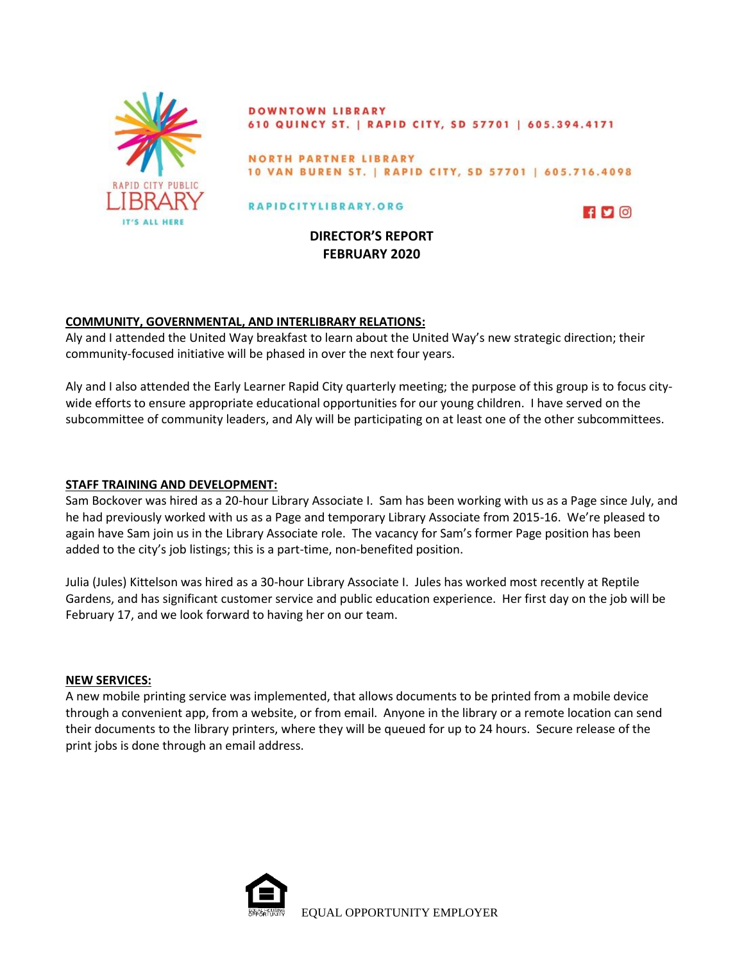

**DOWNTOWN LIBRARY** 610 QUINCY ST. | RAPID CITY, SD 57701 | 605.394.4171

NORTH PARTNER LIBRARY 10 VAN BUREN ST. | RAPID CITY, SD 57701 | 605.716.4098

### RAPIDCITYLIBRARY.ORG



**DIRECTOR'S REPORT FEBRUARY 2020**

## **COMMUNITY, GOVERNMENTAL, AND INTERLIBRARY RELATIONS:**

Aly and I attended the United Way breakfast to learn about the United Way's new strategic direction; their community-focused initiative will be phased in over the next four years.

Aly and I also attended the Early Learner Rapid City quarterly meeting; the purpose of this group is to focus citywide efforts to ensure appropriate educational opportunities for our young children. I have served on the subcommittee of community leaders, and Aly will be participating on at least one of the other subcommittees.

### **STAFF TRAINING AND DEVELOPMENT:**

Sam Bockover was hired as a 20-hour Library Associate I. Sam has been working with us as a Page since July, and he had previously worked with us as a Page and temporary Library Associate from 2015-16. We're pleased to again have Sam join us in the Library Associate role. The vacancy for Sam's former Page position has been added to the city's job listings; this is a part-time, non-benefited position.

Julia (Jules) Kittelson was hired as a 30-hour Library Associate I. Jules has worked most recently at Reptile Gardens, and has significant customer service and public education experience. Her first day on the job will be February 17, and we look forward to having her on our team.

#### **NEW SERVICES:**

A new mobile printing service was implemented, that allows documents to be printed from a mobile device through a convenient app, from a website, or from email. Anyone in the library or a remote location can send their documents to the library printers, where they will be queued for up to 24 hours. Secure release of the print jobs is done through an email address.